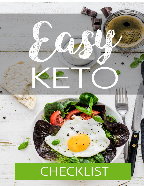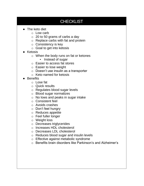## **CHECKLIST**

- The keto diet
	- o Low carb
	- $\circ$  20 to 50 grams of carbs a day
	- o Replace carbs with fat and protein
	- o Consistency is key
	- $\circ$  Goal to get into ketosis
- Ketosis
	- o When the body runs on fat or ketones
		- Instead of sugar
	- o Easier to access fat stores
	- o Easier to lose weight
	- o Doesn't use insulin as a transporter
	- o Keto named for ketosis
- **Benefits** 
	- o Lose fat
	- o Quick results
	- o Regulates blood sugar levels
	- o Blood sugar normalizes
	- o No lows and peaks in sugar intake
	- o Consistent feel
	- o Avoids crashes
	- o Don't feel hungry
	- o Reduces appetite
	- o Feel fuller longer
	- o Weight loss
	- o Decreases triglycerides
	- o Increases HDL cholesterol
	- o Decreases LDL cholesterol
	- o Reduces blood sugar and insulin levels
	- o Effective against metabolic syndrome
	- o Benefits brain disorders like Parkinson's and Alzheimer's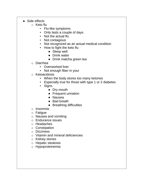- Side effects
	- o Keto flu
		- Flu-like symptoms
		- Only lasts a couple of days
		- Not the actual flu
		- Not contagious
		- Not recognized as an actual medical condition
		- How to fight the keto flu
			- Sleep well
			- Drink water
			- Drink matcha green tea

## o Diarrhea

- Overworked liver
- Not enough fiber in your
- o Ketoacidosis
	- When the body stores too many ketones
	- **E** Especially true for those with type 1 or 2 diabetes
	- Signs
		- Dry mouth
		- Frequent urination
		- Nausea
		- Bad breath
		- Breathing difficulties
- o Insomnia
- o Fatigue
- o Nausea and vomiting
- o Endurance issues
- o Headaches
- o Constipation
- o Dizziness
- o Vitamin and mineral deficiencies
- o Kidney stones
- o Hepatic steatosis
- o Hypoproteinemia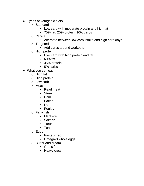- Types of ketogenic diets
	- o Standard
		- Low carb with moderate protein and high fat
		- 70% fat, 20% protein, 10% carbs
	- o Clinical
		- Alternate between low carb intake and high carb days
	- o Targeted
		- Add carbs around workouts
	- o High protein
		- Low carb with high protein and fat
		- 60% fat
		- 35% protein
		- 5% carbs
- What you can eat
	- o High fat
	- o High protein
	- o Low carb
	- o Meat
		- Read meat
		- Steak
		- Ham
		- Bacon
		- Lamb
		- Poultry
	- o Fatty fish
		- Mackerel
		- Salmon
		- **Trout**
		- Tuna
	- o Eggs
		- Pasteurized
		- Omega-3 whole eggs
	- o Butter and cream
		- Grass fed
		- Heavy cream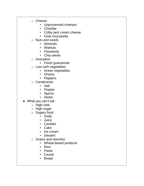- o Cheese
	- Unprocessed cheeses
	- Cheddar
	- Colby jack cream cheese
	- Goat mozzarella
- o Nuts and seeds
	- Almonds
	- Walnuts
	- Flaxseeds
	- Chia seeds
- o Avocados
	- Fresh guacamole
- o Low carb vegetables
	- Green vegetables
	- Onions
	- Peppers
- o Condiments
	- Salt
	- Pepper
	- Spices
	- Herbs
- What you can't eat
	- o High carb
	- o High sugar
	- o Sugary food
		- Soda
		- Juice
		- Candies
		- Cake
		- Ice cream
		- Dessert
	- o Grains and starches
		- Wheat-based products
		- Rice
		- Pasta
		- Cereal
		- Bread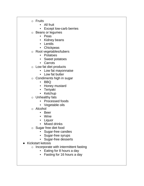- o Fruits
	- All fruit
	- Except low-carb berries
- o Beans or legumes
	- Peas
	- Kidney beans
	- Lentils
	- Chickpeas
- o Root vegetables/tubers
	- Potatoes
	- Sweet potatoes
	- Carrots
- o Low fat diet products
	- Low fat mayonnaise
	- Low fat butter
- o Condiments high in sugar
	- BBQ
	- Honey mustard
	- Teriyaki
	- Ketchup
- o Unhealthy fats
	- Processed foods
	- Vegetable oils
- o Alcohol
	- Beer
	- Wine
	- Liquor
		- **Mixed drinks**
- o Sugar free diet food
	- Sugar-free candies
	- Sugar-free syrups
	- Sugar-free desserts
- **Kickstart ketosis** 
	- o Incorporate with intermittent fasting
		- Eating for 8 hours a day
		- Fasting for 16 hours a day